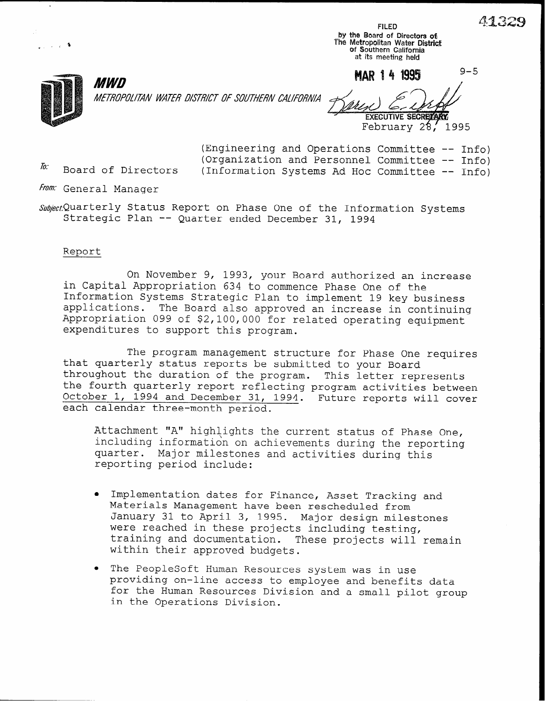$\frac{413}{41}$ 

 $9 - 5$ 

by the Board of Directors ofi The Metropolitan Water Distric of Southern Californi at its meeting held

MΔR 14 1995



 $\sim$  in  $\sim$ 

0

METROPOLITAN WATER DISTRICT OF SOUTHERN CALIFORNIA

EXECUTIVE SECRETARY<br>February 28, 1995

(Engineering and Operations Committee -- Info) (Organization and Personnel Committee -- Info)<br> $\hbar$ : Board of Directors (Information Systems Ad Hoc Committee -- Info)  $(Information Systems Ad Hoc Committee -- Info)$ 

From: General Manager

**MWD** 

Subject, Quarterly Status Report on Phase One of the Information Systems Strategic Plan -- Quarter ended December 31, 1994

#### Report

On November 9, 1993, your Board authorized an increase in Capital Appropriation 634 to commence Phase One of the Information Systems Strategic Plan to implement 19 key business applications. The Board also approved an increase in continuing Appropriation 099 of \$2,100,000 for related operating equipment expenditures to support this program.

The program management structure for Phase One requires that quarterly status reports be submitted to your Board throughout the duration of the program. This letter represents the fourth quarterly report reflecting program activities between October 1, 1994 and December 31, 1994. Future reports will cover each calendar three-month period.

Attachment "A" highlights the current status of Phase One, including information on achievements during the reporting quarter. Major milestones and activities during this reporting period include:

- <sup>l</sup>Implementation dates for Finance, Asset Tracking and Materials Management have been rescheduled from January 31 to April 3, 1995. Major design milestones were reached in these projects including testing, training and documentation. These projects will remain within their approved budgets.
- The PeopleSoft Human Resources system was in use providing on-line access to employee and benefits data for the Human Resources Division and a small pilot group in the Operations Division.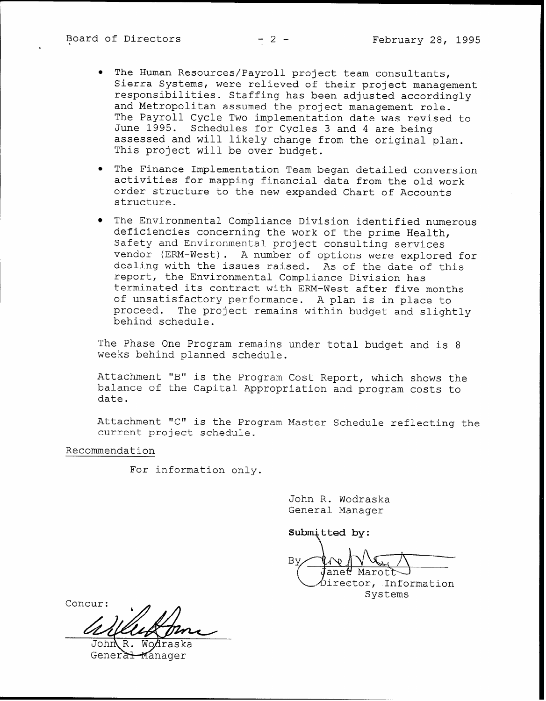- . The Human Resources/Payroll project team consultants, Sierra Systems, were relieved of their project management responsibilities. Staffing has been adjusted accordingly and Metropolitan assumed the project management role. The Payroll Cycle Two implementation date was revised to June 1995. Schedules for Cycles 3 and 4 are being assessed and will likely change from the original plan. This project will be over budget.
- **•** The Finance Implementation Team began detailed conversion activities for mapping financial data from the old work order structure to the new expanded Chart of Accounts structure.
- The Environmental Compliance Division identified numerous deficiencies concerning the work of the prime Health, Safety and Environmental project consulting services vendor (ERM-West). A number of options were explored for dealing with the issues raised. As of the date of this report, the Environmental Compliance Division has terminated its contract with ERM-West after five months of unsatisfactory performance. A plan is in place to proceed. The project remains within budget and slightly behind schedule.

The Phase One Program remains under total budget and is 8 weeks behind planned schedule.

Attachment "B" is the Program Cost Report, which shows the balance of the Capital Appropriation and program costs to date.

Attachment "C" is the Program Master Schedule reflecting the current project schedule.

Recommendation

For information only.

John R. Wodraska General Manager

Submitted by:

 $\setminus$ By ane∀ Marot irector, Information Systems

Concur:

General-Manager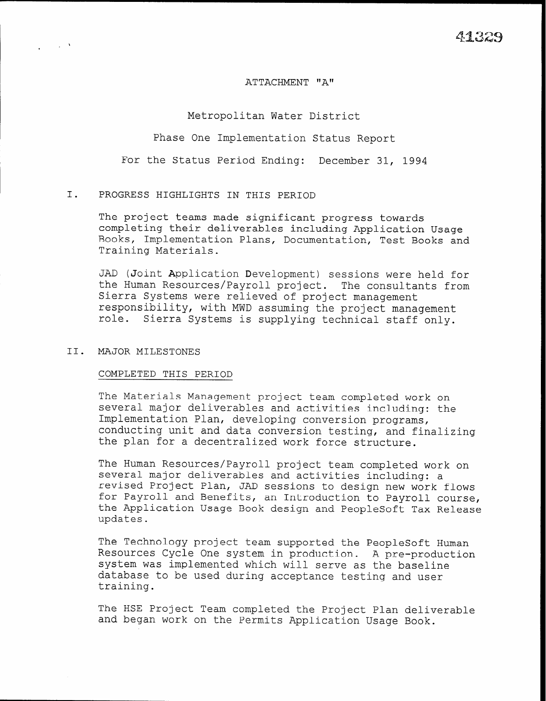### ATTACHMENT "A"

## Metropolitan Water District

Phase One Implementation Status Report

For the Status Period Ending: December 31, 1994

## I. PROGRESS HIGHLIGHTS IN THIS PERIOD

The project teams made significant progress towards completing their deliverables including Application Usage Books, Implementation Plans, Documentation, Test Books and Training Materials.

JAD (Joint Application Development) sessions were held for the Human Resources/Payroll project. The consultants from Sierra Systems were relieved of project management responsibility, with MWD assuming the project management role. Sierra Systems is supplying technical staff only.

## II. MAJOR MILESTONES

 $\frac{1}{\sqrt{2}}\left(1-\frac{1}{2}\right)$  ,  $\frac{1}{2}\left(1-\frac{1}{2}\right)$ 

#### COMPLETED THIS PERIOD

The Materials Management project team completed work on several major deliverables and activities including: the Implementation Plan, developing conversion programs, conducting unit and data conversion testing, and finalizing the plan for a decentralized work force structure.

The Human Resources/Payroll project team completed work on several major deliverables and activities including: a revised Project Plan, JAD sessions to design new work flows for Payroll and Benefits, an Introduction to Payroll course, the Application Usage Book design and PeopleSoft Tax Release updates.

The Technology project team supported the PeopleSoft Human Resources Cycle One system in production. A pre-production system was implemented which will serve as the baseline database to be used during acceptance testing and user training.

The HSE Project Team completed the Project Plan deliverable and began work on the Permits Application Usage Book.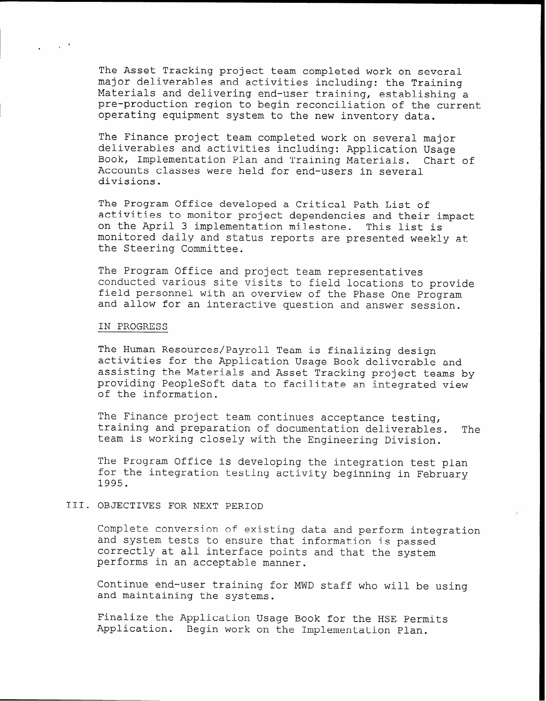The Asset Tracking project team completed work on several major deliverables and activities including: the Training Materials and delivering end-user training, establishing a pre-production region to begin reconciliation of the current operating equipment system to the new inventory data.

The Finance project team completed work on several major deliverables and activities including: Application Usage Book, Implementation Plan and Training Materials. Chart of Accounts classes were held for end-users in several divisions.

The Program Office developed a Critical Path List of activities to monitor project dependencies and their impact on the April 3 implementation milestone. This list is monitored daily and status reports are presented weekly at the Steering Committee.

The Program Office and project team representatives conducted various site visits to field locations to provide field personnel with an overview of the Phase One Program and allow for an interactive question and answer session.

#### IN PROGRESS

The Human Resources/Payroll Team is finalizing design activities for the Application Usage Book deliverable and assisting the Materials and Asset Tracking project teams by providing PeopleSoft data to facilitate an integrated view of the information.

The Finance project team continues acceptance testing, training and preparation of documentation deliverables. The team is working closely with the Engineering Division.

The Program Office is developing the integration test plan for the integration testing activity beginning in February 1995.

## III. OBJECTIVES FOR NEXT PERIOD

Complete conversion of existing data and perform integration and system tests to ensure that information is passed correctly at all interface points and that the system performs in an acceptable manner.

Continue end-user training for MWD staff who will be using and maintaining the systems.

Finalize the Application Usage Book for the HSE Permits Application. Begin work on the Implementation Plan.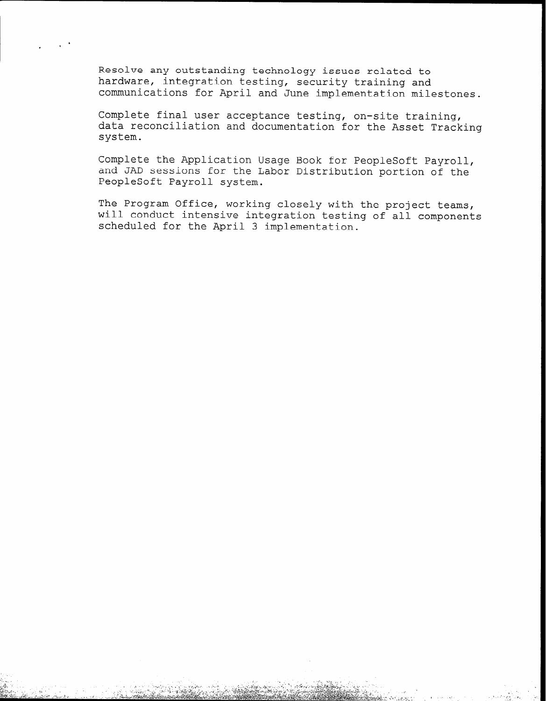Resolve any outstanding technology issues related to hardware, integration testing, security training and communications for April and June implementation milestones.

Complete final user acceptance testing, on-site training, data reconciliation and documentation for the Asset Tracking system.

Complete the Application Usage Book for PeopleSoft Payroll, and JAD sessions for the Labor Distribution portion of the PeopleSoft Payroll system.

The Program Office, working closely with the project teams, will conduct intensive integration testing of all components scheduled for the April 3 implementation.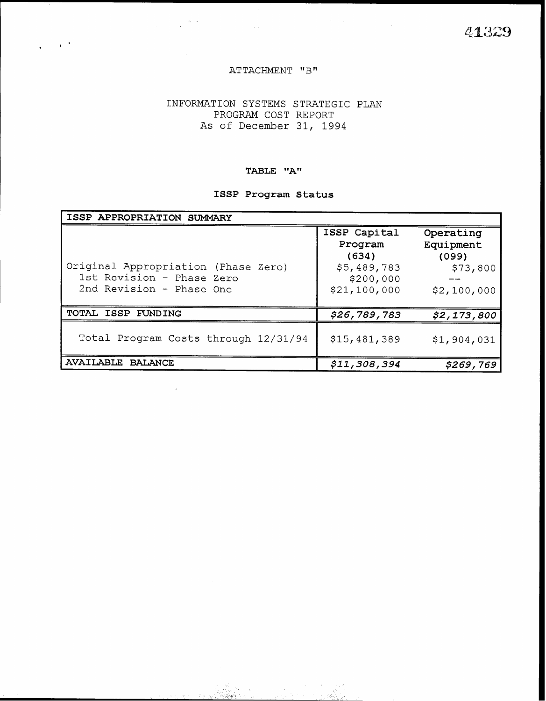41329

## ATTACHMENT "B"

 $\sim 10^{-4}$ 

## INFORMATION SYSTEMS STRATEGIC PLAN PROGRAM COST REPORT As of December 31, 1994

## TABLE "A"

# ISSP Program Status

| ISSP APPROPRIATION SUMMARY                                                                   |                                                                              |                                                            |
|----------------------------------------------------------------------------------------------|------------------------------------------------------------------------------|------------------------------------------------------------|
| Original Appropriation (Phase Zero)<br>1st Revision - Phase Zero<br>2nd Revision - Phase One | ISSP Capital<br>Program<br>(634)<br>\$5,489,783<br>\$200,000<br>\$21,100,000 | Operating<br>Equipment<br>(099)<br>\$73,800<br>\$2,100,000 |
| TOTAL ISSP FUNDING                                                                           | \$26,789,783                                                                 | \$2,173,800                                                |
| Total Program Costs through 12/31/94                                                         | \$15,481,389                                                                 | \$1,904,031                                                |
| <b>AVAILABLE BALANCE</b>                                                                     | \$11,308,394                                                                 | \$269,769                                                  |

\_' -' .>.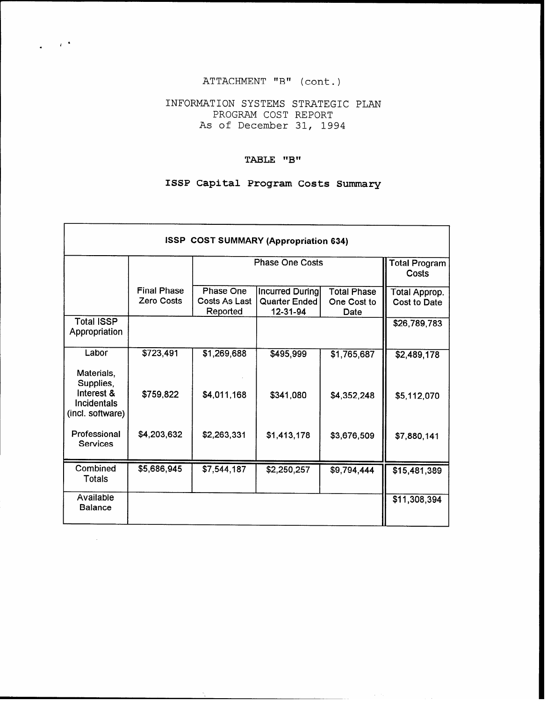# ATTACHMENT "B" (cont.)

 $\sim$   $\mu$  .

.

# INFORMATION SYSTEMS STRATEGIC PLAN PROGRAM COST REPORT As of December 31, 1994

# TABLE "B"

# ISSP Capital Program Costs Sumnary

|                                                      |                                  |                                               | <b>ISSP COST SUMMARY (Appropriation 634)</b>        |                                           |                               |
|------------------------------------------------------|----------------------------------|-----------------------------------------------|-----------------------------------------------------|-------------------------------------------|-------------------------------|
|                                                      |                                  | <b>Total Program</b><br>Costs                 |                                                     |                                           |                               |
|                                                      | <b>Final Phase</b><br>Zero Costs | <b>Phase One</b><br>Costs As Last<br>Reported | Incurred During<br><b>Quarter Ended</b><br>12-31-94 | <b>Total Phase</b><br>One Cost to<br>Date | Total Approp.<br>Cost to Date |
| <b>Total ISSP</b><br>Appropriation                   |                                  |                                               |                                                     |                                           | \$26,789,783                  |
| Labor<br>Materials,<br>Supplies,                     | \$723,491                        | $\overline{\$1,269,688}$                      | \$495,999                                           | $\overline{31,765,687}$                   | \$2,489,178                   |
| Interest &<br><b>Incidentals</b><br>(incl. software) | \$759,822                        | \$4,011,168                                   | \$341,080                                           | \$4,352,248                               | \$5,112,070                   |
| Professional<br>Services                             | \$4,203,632                      | \$2,263,331                                   | \$1,413,178                                         | \$3,676,509                               | \$7,880,141                   |
| Combined<br>Totals                                   | \$5,686,945                      | \$7,544,187                                   | \$2,250,257                                         | \$9,794,444                               | \$15,481,389                  |
| Available<br><b>Balance</b>                          |                                  |                                               |                                                     |                                           | \$11,308,394                  |

 $\sim$